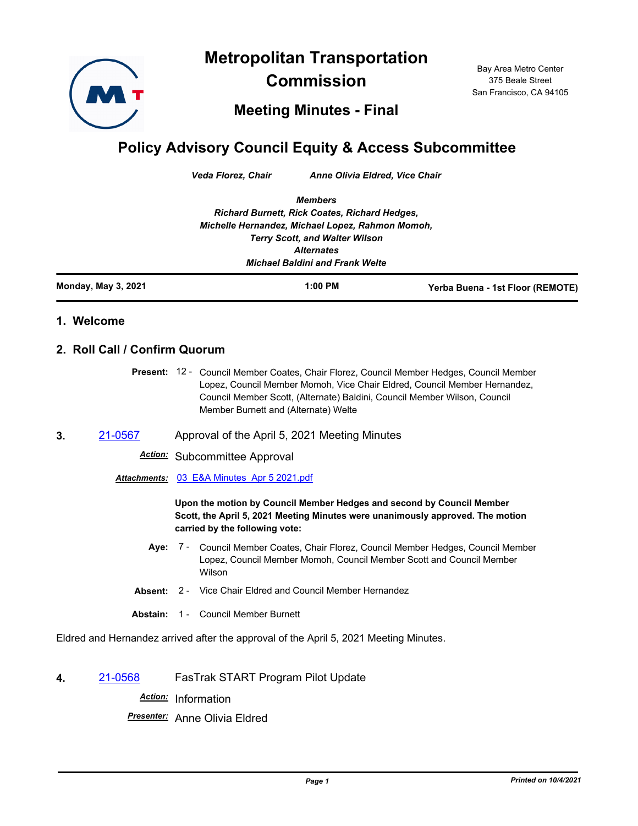**Metropolitan Transportation** 



**Commission**

Bay Area Metro Center 375 Beale Street San Francisco, CA 94105

**Meeting Minutes - Final**

## **Policy Advisory Council Equity & Access Subcommittee**

*Veda Florez, Chair Anne Olivia Eldred, Vice Chair*

*Members Richard Burnett, Rick Coates, Richard Hedges, Michelle Hernandez, Michael Lopez, Rahmon Momoh, Terry Scott, and Walter Wilson Alternates Michael Baldini and Frank Welte*

**Monday, May 3, 2021 1:00 PM Yerba Buena - 1st Floor (REMOTE)**

## **1. Welcome**

## **2. Roll Call / Confirm Quorum**

Present: 12 - Council Member Coates, Chair Florez, Council Member Hedges, Council Member Lopez, Council Member Momoh, Vice Chair Eldred, Council Member Hernandez, Council Member Scott, (Alternate) Baldini, Council Member Wilson, Council Member Burnett and (Alternate) Welte

**3.** [21-0567](http://mtc.legistar.com/gateway.aspx?m=l&id=/matter.aspx?key=22160) Approval of the April 5, 2021 Meeting Minutes

*Action:* Subcommittee Approval

*Attachments:* [03\\_E&A Minutes\\_Apr 5 2021.pdf](http://mtc.legistar.com/gateway.aspx?M=F&ID=1912d219-54c9-4a9e-9b32-29b7047aeda3.pdf)

**Upon the motion by Council Member Hedges and second by Council Member Scott, the April 5, 2021 Meeting Minutes were unanimously approved. The motion carried by the following vote:**

- **Aye:** Council Member Coates, Chair Florez, Council Member Hedges, Council Member Lopez, Council Member Momoh, Council Member Scott and Council Member Wilson Aye: 7 -
- **Absent:** 2 Vice Chair Eldred and Council Member Hernandez
- **Abstain:** 1 Council Member Burnett

Eldred and Hernandez arrived after the approval of the April 5, 2021 Meeting Minutes.

**4.** [21-0568](http://mtc.legistar.com/gateway.aspx?m=l&id=/matter.aspx?key=22161) FasTrak START Program Pilot Update

*Action:* Information

*Presenter:* Anne Olivia Eldred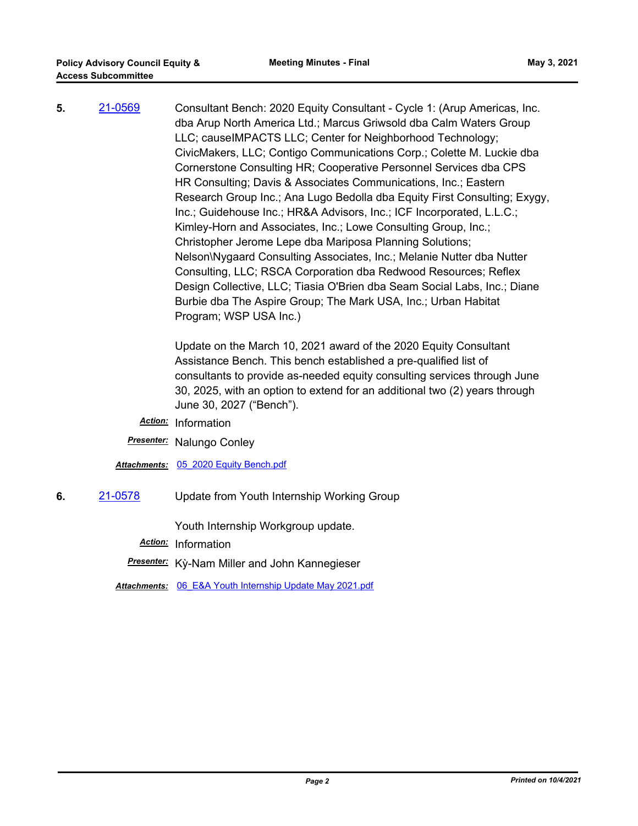**5.** [21-0569](http://mtc.legistar.com/gateway.aspx?m=l&id=/matter.aspx?key=22162) Consultant Bench: 2020 Equity Consultant - Cycle 1: (Arup Americas, Inc. dba Arup North America Ltd.; Marcus Griwsold dba Calm Waters Group LLC; causeIMPACTS LLC; Center for Neighborhood Technology; CivicMakers, LLC; Contigo Communications Corp.; Colette M. Luckie dba Cornerstone Consulting HR; Cooperative Personnel Services dba CPS HR Consulting; Davis & Associates Communications, Inc.; Eastern Research Group Inc.; Ana Lugo Bedolla dba Equity First Consulting; Exygy, Inc.; Guidehouse Inc.; HR&A Advisors, Inc.; ICF Incorporated, L.L.C.; Kimley-Horn and Associates, Inc.; Lowe Consulting Group, Inc.; Christopher Jerome Lepe dba Mariposa Planning Solutions; Nelson\Nygaard Consulting Associates, Inc.; Melanie Nutter dba Nutter Consulting, LLC; RSCA Corporation dba Redwood Resources; Reflex Design Collective, LLC; Tiasia O'Brien dba Seam Social Labs, Inc.; Diane Burbie dba The Aspire Group; The Mark USA, Inc.; Urban Habitat Program; WSP USA Inc.)

> Update on the March 10, 2021 award of the 2020 Equity Consultant Assistance Bench. This bench established a pre-qualified list of consultants to provide as-needed equity consulting services through June 30, 2025, with an option to extend for an additional two (2) years through June 30, 2027 ("Bench").

*Action:* Information

*Presenter:* Nalungo Conley

*Attachments:* [05\\_2020 Equity Bench.pdf](http://mtc.legistar.com/gateway.aspx?M=F&ID=c21f9c5e-e36f-400e-98c1-0f8b7cdda878.pdf)

**6.** [21-0578](http://mtc.legistar.com/gateway.aspx?m=l&id=/matter.aspx?key=22171) Update from Youth Internship Working Group

Youth Internship Workgroup update.

*Action:* Information

*Presenter:* Kỳ-Nam Miller and John Kannegieser

*Attachments:* [06\\_E&A Youth Internship Update May 2021.pdf](http://mtc.legistar.com/gateway.aspx?M=F&ID=50b397a5-7ec0-419d-95ba-ad08e66a3eae.pdf)